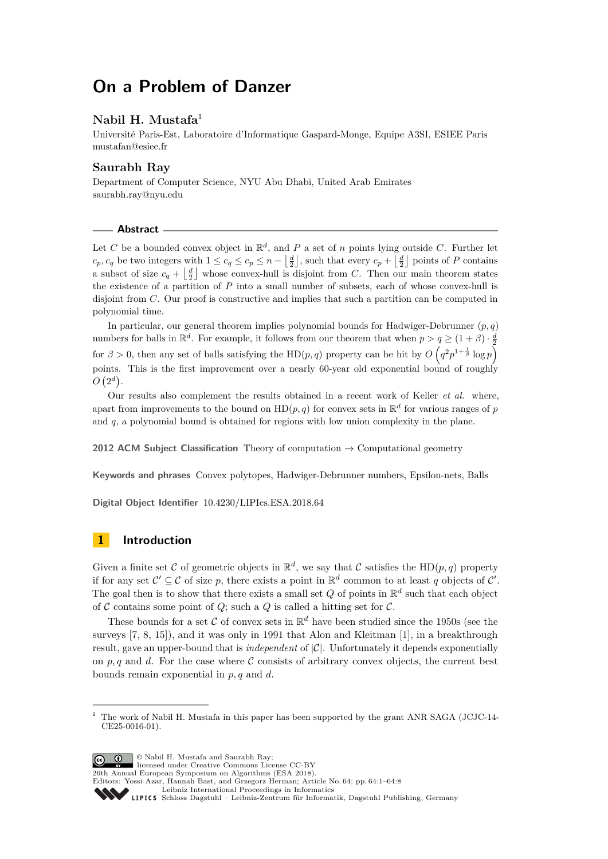# **On a Problem of Danzer**

## **Nabil H. Mustafa**<sup>1</sup>

Université Paris-Est, Laboratoire d'Informatique Gaspard-Monge, Equipe A3SI, ESIEE Paris [mustafan@esiee.fr](mailto:mustafan@esiee.fr)

### **Saurabh Ray**

Department of Computer Science, NYU Abu Dhabi, United Arab Emirates [saurabh.ray@nyu.edu](mailto:saurabh.ray@nyu.edu)

### **Abstract**

Let *C* be a bounded convex object in  $\mathbb{R}^d$ , and *P* a set of *n* points lying outside *C*. Further let  $c_p, c_q$  be two integers with  $1 \leq c_q \leq c_p \leq n - \left\lfloor \frac{d}{2} \right\rfloor$ , such that every  $c_p + \left\lfloor \frac{d}{2} \right\rfloor$  points of *P* contains a subset of size  $c_q + \left\lfloor \frac{d}{2} \right\rfloor$  whose convex-hull is disjoint from *C*. Then our main theorem states the existence of a partition of *P* into a small number of subsets, each of whose convex-hull is disjoint from *C*. Our proof is constructive and implies that such a partition can be computed in polynomial time.

In particular, our general theorem implies polynomial bounds for Hadwiger-Debrunner (*p, q*) numbers for balls in  $\mathbb{R}^d$ . For example, it follows from our theorem that when  $p > q \geq (1 + \beta) \cdot \frac{d}{2}$ for  $\beta > 0$ , then any set of balls satisfying the HD(*p*, *q*) property can be hit by  $O(q^2p^{1+\frac{1}{\beta}}\log p)$ points. This is the first improvement over a nearly 60-year old exponential bound of roughly  $O(2^d)$ .

Our results also complement the results obtained in a recent work of Keller *et al.* where, apart from improvements to the bound on  $HD(p, q)$  for convex sets in  $\mathbb{R}^d$  for various ranges of p and *q*, a polynomial bound is obtained for regions with low union complexity in the plane.

**2012 ACM Subject Classification** Theory of computation → Computational geometry

**Keywords and phrases** Convex polytopes, Hadwiger-Debrunner numbers, Epsilon-nets, Balls

**Digital Object Identifier** [10.4230/LIPIcs.ESA.2018.64](http://dx.doi.org/10.4230/LIPIcs.ESA.2018.64)

# **1 Introduction**

Given a finite set C of geometric objects in  $\mathbb{R}^d$ , we say that C satisfies the HD $(p, q)$  property if for any set  $\mathcal{C}' \subseteq \mathcal{C}$  of size p, there exists a point in  $\mathbb{R}^d$  common to at least q objects of  $\mathcal{C}'$ . The goal then is to show that there exists a small set  $Q$  of points in  $\mathbb{R}^d$  such that each object of  $\mathcal C$  contains some point of  $Q$ ; such a  $Q$  is called a hitting set for  $\mathcal C$ .

These bounds for a set C of convex sets in  $\mathbb{R}^d$  have been studied since the 1950s (see the surveys [\[7,](#page-7-0) [8,](#page-7-1) [15\]](#page-7-2)), and it was only in 1991 that Alon and Kleitman [\[1\]](#page-7-3), in a breakthrough result, gave an upper-bound that is *independent* of  $|\mathcal{C}|$ . Unfortunately it depends exponentially on  $p, q$  and  $d$ . For the case where  $\mathcal C$  consists of arbitrary convex objects, the current best bounds remain exponential in *p, q* and *d*.

**c**  $\bullet$   $\bullet$  Nabil H. Mustafa and Saurabh Ray;

licensed under Creative Commons License CC-BY

26th Annual European Symposium on Algorithms (ESA 2018).

<sup>1</sup> The work of Nabil H. Mustafa in this paper has been supported by the grant ANR SAGA (JCJC-14- CE25-0016-01).

Editors: Yossi Azar, Hannah Bast, and Grzegorz Herman; Article No. 64; pp. 64:1–64[:8](#page-7-4) [Leibniz International Proceedings in Informatics](http://www.dagstuhl.de/lipics/) Leibniz International Froceedings in miormatics<br>
LIPICS [Schloss Dagstuhl – Leibniz-Zentrum für Informatik, Dagstuhl Publishing, Germany](http://www.dagstuhl.de)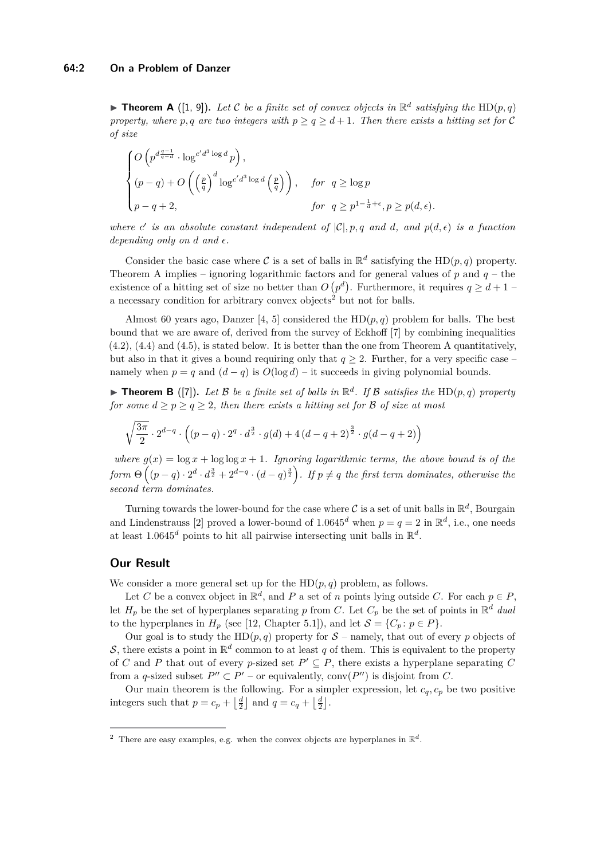<span id="page-1-0"></span>**Findmark Theorem A** ([\[1,](#page-7-3) [9\]](#page-7-5)). Let C be a finite set of convex objects in  $\mathbb{R}^d$  satisfying the HD(p, q) *property, where p, q* are two integers with  $p \ge q \ge d+1$ . Then there exists a hitting set for C *of size*

$$
\begin{cases} O\left(p^{d\frac{q-1}{q-d}}\cdot \log^{c'd^3\log d}p\right), \\ (p-q)+O\left(\left(\frac{p}{q}\right)^d\log^{c'd^3\log d}\left(\frac{p}{q}\right)\right), & \text{for } q\geq \log p \\ p-q+2, & \text{for } q\geq p^{1-\frac{1}{d}+\epsilon}, p\geq p(d,\epsilon). \end{cases}
$$

*where c*' *is an absolute constant independent of*  $|C|, p, q$  *and d, and*  $p(d, \epsilon)$  *is a function depending only on d and*  $\epsilon$ .

Consider the basic case where C is a set of balls in  $\mathbb{R}^d$  satisfying the HD $(p, q)$  property. Theorem [A](#page-1-0) implies – ignoring logarithmic factors and for general values of  $p$  and  $q$  – the existence of a hitting set of size no better than  $O(p^d)$ . Furthermore, it requires  $q \geq d+1$ a necessary condition for arbitrary convex objects<sup>[2](#page-1-1)</sup> but not for balls.

Almost 60 years ago, Danzer [\[4,](#page-7-6) [5\]](#page-7-7) considered the  $HD(p, q)$  problem for balls. The best bound that we are aware of, derived from the survey of Eckhoff [\[7\]](#page-7-0) by combining inequalities (4.2), (4.4) and (4.5), is stated below. It is better than the one from Theorem [A](#page-1-0) quantitatively, but also in that it gives a bound requiring only that  $q \geq 2$ . Further, for a very specific case – namely when  $p = q$  and  $(d - q)$  is  $O(\log d)$  – it succeeds in giving polynomial bounds.

<span id="page-1-2"></span>**Findmark Theorem B** ([\[7\]](#page-7-0)). Let B be a finite set of balls in  $\mathbb{R}^d$ . If B satisfies the HD(p, q) property *for some*  $d \geq p \geq q \geq 2$ *, then there exists a hitting set for*  $\beta$  *of size at most* 

$$
\sqrt{\frac{3\pi}{2}} \cdot 2^{d-q} \cdot \left( (p-q) \cdot 2^q \cdot d^{\frac{3}{2}} \cdot g(d) + 4(d-q+2)^{\frac{3}{2}} \cdot g(d-q+2) \right)
$$

*where*  $g(x) = \log x + \log \log x + 1$ *. Ignoring logarithmic terms, the above bound is of the*  $form \Theta\left((p-q)\cdot 2^d\cdot d^{\frac{3}{2}}+2^{d-q}\cdot (d-q)^{\frac{3}{2}}\right)$ . If  $p\neq q$  the first term dominates, otherwise the *second term dominates.*

Turning towards the lower-bound for the case where  $\mathcal C$  is a set of unit balls in  $\mathbb R^d$ , Bourgain and Lindenstrauss [\[2\]](#page-7-8) proved a lower-bound of  $1.0645^d$  when  $p = q = 2$  in  $\mathbb{R}^d$ , i.e., one needs at least  $1.0645^d$  points to hit all pairwise intersecting unit balls in  $\mathbb{R}^d$ .

### **Our Result**

We consider a more general set up for the  $HD(p, q)$  problem, as follows.

Let *C* be a convex object in  $\mathbb{R}^d$ , and *P* a set of *n* points lying outside *C*. For each  $p \in P$ , let  $H_p$  be the set of hyperplanes separating p from C. Let  $C_p$  be the set of points in  $\mathbb{R}^d$  *dual* to the hyperplanes in  $H_p$  (see [\[12,](#page-7-9) Chapter 5.1]), and let  $S = \{C_p : p \in P\}.$ 

Our goal is to study the  $HD(p, q)$  property for  $S$  – namely, that out of every p objects of S, there exists a point in  $\mathbb{R}^d$  common to at least q of them. This is equivalent to the property of *C* and *P* that out of every *p*-sized set  $P' \subseteq P$ , there exists a hyperplane separating *C* from a *q*-sized subset  $P'' \subset P'$  – or equivalently, conv $(P'')$  is disjoint from *C*.

Our main theorem is the following. For a simpler expression, let  $c_q$ ,  $c_p$  be two positive integers such that  $p = c_p + \left\lfloor \frac{d}{2} \right\rfloor$  and  $q = c_q + \left\lfloor \frac{d}{2} \right\rfloor$ .

<span id="page-1-1"></span><sup>&</sup>lt;sup>2</sup> There are easy examples, e.g. when the convex objects are hyperplanes in  $\mathbb{R}^d$ .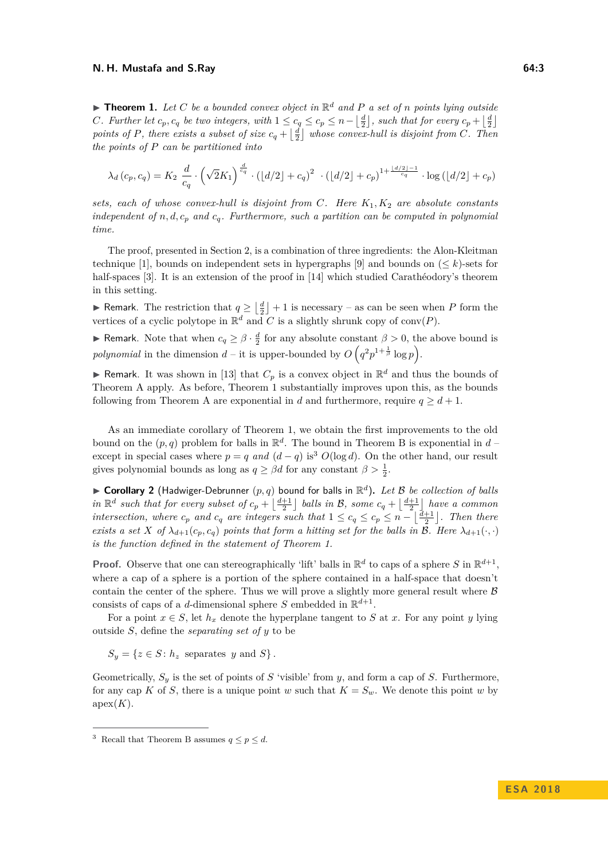#### **N. H. Mustafa and S.Ray 64:3**

<span id="page-2-0"></span> $\blacktriangleright$  **Theorem 1.** Let C be a bounded convex object in  $\mathbb{R}^d$  and P a set of *n* points lying outside *C. Further let*  $c_p, c_q$  *be two integers, with*  $1 \leq c_q \leq c_p \leq n - \left\lfloor \frac{d}{2} \right\rfloor$ *, such that for every*  $c_p + \left\lfloor \frac{d}{2} \right\rfloor$ points of *P*, there exists a subset of size  $c_q + \lfloor \frac{d}{2} \rfloor$  whose convex-hull is disjoint from *C*. Then *the points of P can be partitioned into*

$$
\lambda_d(c_p, c_q) = K_2 \frac{d}{c_q} \cdot \left(\sqrt{2}K_1\right)^{\frac{d}{c_q}} \cdot \left(\lfloor d/2 \rfloor + c_q\right)^2 \cdot \left(\lfloor d/2 \rfloor + c_p\right)^{1 + \frac{\lfloor d/2 \rfloor - 1}{c_q}} \cdot \log\left(\lfloor d/2 \rfloor + c_p\right)
$$

*sets, each of whose convex-hull is disjoint from C. Here K*1*, K*<sup>2</sup> *are absolute constants independent of*  $n, d, c_p$  *and*  $c_q$ *. Furthermore, such a partition can be computed in polynomial time.*

The proof, presented in Section [2,](#page-3-0) is a combination of three ingredients: the Alon-Kleitman technique [\[1\]](#page-7-3), bounds on independent sets in hypergraphs [\[9\]](#page-7-5) and bounds on  $(< k$ )-sets for half-spaces [\[3\]](#page-7-10). It is an extension of the proof in [\[14\]](#page-7-11) which studied Carathéodory's theorem in this setting.

► Remark. The restriction that  $q \geq \lfloor \frac{d}{2} \rfloor + 1$  is necessary – as can be seen when *P* form the vertices of a cyclic polytope in  $\mathbb{R}^d$  and *C* is a slightly shrunk copy of conv $(P)$ .

**► Remark.** Note that when  $c_q \geq \beta \cdot \frac{d}{2}$  for any absolute constant  $\beta > 0$ , the above bound is *polynomial* in the dimension  $d$  – it is upper-bounded by  $O(q^2p^{1+\frac{1}{\beta}}\log p)$ .

**F** Remark. It was shown in [\[13\]](#page-7-12) that  $C_p$  is a convex object in  $\mathbb{R}^d$  and thus the bounds of Theorem [A](#page-1-0) apply. As before, Theorem [1](#page-2-0) substantially improves upon this, as the bounds following from Theorem [A](#page-1-0) are exponential in *d* and furthermore, require  $q \geq d+1$ .

As an immediate corollary of Theorem [1,](#page-2-0) we obtain the first improvements to the old bound on the  $(p, q)$  problem for balls in  $\mathbb{R}^d$ . The bound in Theorem [B](#page-1-2) is exponential in  $d$ except in special cases where  $p = q$  *and*  $(d - q)$  is<sup>[3](#page-2-1)</sup>  $O(\log d)$ . On the other hand, our result gives polynomial bounds as long as  $q \geq \beta d$  for any constant  $\beta > \frac{1}{2}$ .

 $\triangleright$  **Corollary 2** (Hadwiger-Debrunner  $(p, q)$  bound for balls in  $\mathbb{R}^d$ ). Let B be collection of balls *in*  $\mathbb{R}^d$  such that for every subset of  $c_p + \lfloor \frac{d+1}{2} \rfloor$  balls in B, some  $c_q + \lfloor \frac{d+1}{2} \rfloor$  have a common *intersection, where*  $c_p$  *and*  $c_q$  *are integers such that*  $1 \leq c_q \leq c_p \leq n - \left\lfloor \frac{d+1}{2} \right\rfloor$ *. Then there exists a set X of*  $\lambda_{d+1}(c_p, c_q)$  *points that form a hitting set for the balls in*  $\mathcal{B}$ *. Here*  $\lambda_{d+1}(\cdot, \cdot)$ *is the function defined in the statement of Theorem [1.](#page-2-0)*

**Proof.** Observe that one can stereographically 'lift' balls in  $\mathbb{R}^d$  to caps of a sphere *S* in  $\mathbb{R}^{d+1}$ , where a cap of a sphere is a portion of the sphere contained in a half-space that doesn't contain the center of the sphere. Thus we will prove a slightly more general result where  $\beta$ consists of caps of a *d*-dimensional sphere *S* embedded in  $\mathbb{R}^{d+1}$ .

For a point  $x \in S$ , let  $h_x$  denote the hyperplane tangent to *S* at *x*. For any point *y* lying outside *S*, define the *separating set of y* to be

 $S_y = \{z \in S : h_z \text{ separates } y \text{ and } S\}.$ 

Geometrically, *S<sup>y</sup>* is the set of points of *S* 'visible' from *y*, and form a cap of *S*. Furthermore, for any cap *K* of *S*, there is a unique point *w* such that  $K = S_w$ . We denote this point *w* by  $apex(K).$ 

<span id="page-2-1"></span><sup>&</sup>lt;sup>3</sup> Recall that Theorem [B](#page-1-2) assumes  $q \leq p \leq d$ .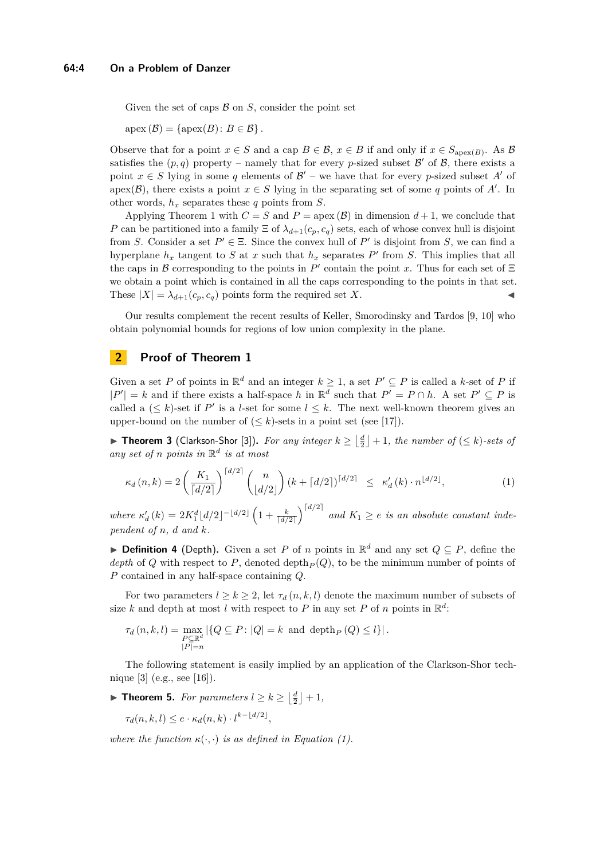Given the set of caps  $\beta$  on  $S$ , consider the point set

 $apex(\mathcal{B}) = \{apex(B): B \in \mathcal{B}\}.$ 

Observe that for a point  $x \in S$  and a cap  $B \in \mathcal{B}$ ,  $x \in B$  if and only if  $x \in S_{\text{apex}(B)}$ . As  $\mathcal{B}$ satisfies the  $(p, q)$  property – namely that for every *p*-sized subset  $\mathcal{B}'$  of  $\mathcal{B}$ , there exists a point  $x \in S$  lying in some q elements of  $\mathcal{B}'$  – we have that for every p-sized subset A' of apex( $\mathcal{B}$ ), there exists a point  $x \in S$  lying in the separating set of some q points of A'. In other words, *h<sup>x</sup>* separates these *q* points from *S*.

Applying Theorem [1](#page-2-0) with  $C = S$  and  $P = \text{apex}(\mathcal{B})$  in dimension  $d + 1$ , we conclude that *P* can be partitioned into a family  $\Xi$  of  $\lambda_{d+1}(c_p, c_q)$  sets, each of whose convex hull is disjoint from *S*. Consider a set  $P' \in \Xi$ . Since the convex hull of  $P'$  is disjoint from *S*, we can find a hyperplane  $h_x$  tangent to *S* at *x* such that  $h_x$  separates *P*<sup> $\prime$ </sup> from *S*. This implies that all the caps in B corresponding to the points in  $P'$  contain the point x. Thus for each set of  $\Xi$ we obtain a point which is contained in all the caps corresponding to the points in that set. These  $|X| = \lambda_{d+1}(c_p, c_q)$  points form the required set X.

Our results complement the recent results of Keller, Smorodinsky and Tardos [\[9,](#page-7-5) [10\]](#page-7-13) who obtain polynomial bounds for regions of low union complexity in the plane.

# <span id="page-3-0"></span>**2 Proof of Theorem [1](#page-2-0)**

Given a set P of points in  $\mathbb{R}^d$  and an integer  $k \geq 1$ , a set  $P' \subseteq P$  is called a k-set of P if  $|P'| = k$  and if there exists a half-space *h* in  $\mathbb{R}^d$  such that  $P' = P \cap h$ . A set  $P' \subseteq P$  is called a  $(\leq k)$ -set if P' is a *l*-set for some  $l \leq k$ . The next well-known theorem gives an upper-bound on the number of  $(\leq k)$ -sets in a point set (see [\[17\]](#page-7-14)).

▶ **Theorem 3** (Clarkson-Shor [\[3\]](#page-7-10)). For any integer  $k \geq \lfloor \frac{d}{2} \rfloor + 1$ , the number of (≤ k)-sets of *any set of n points in* R *d is at most*

<span id="page-3-1"></span>
$$
\kappa_d(n,k) = 2\left(\frac{K_1}{\lceil d/2 \rceil}\right)^{\lceil d/2 \rceil} \binom{n}{\lfloor d/2 \rfloor} (k + \lceil d/2 \rceil)^{\lceil d/2 \rceil} \leq \kappa'_d(k) \cdot n^{\lfloor d/2 \rfloor}, \tag{1}
$$

 $\mathcal{L}$  where  $\kappa_d'(k) = 2K_1^d \lfloor d/2 \rfloor^{-\lfloor d/2 \rfloor} \left(1 + \frac{k}{\lceil d/2 \rceil} \right)^{\lceil d/2 \rceil}$  and  $K_1 \geq e$  is an absolute constant inde*pendent of n, d and k.*

<span id="page-3-2"></span>**▶ Definition 4** (Depth). Given a set *P* of *n* points in  $\mathbb{R}^d$  and any set  $Q \subseteq P$ , define the *depth* of *Q* with respect to *P*, denoted depth<sub>*P*</sub>(*Q*), to be the minimum number of points of *P* contained in any half-space containing *Q*.

For two parameters  $l \geq k \geq 2$ , let  $\tau_d(n, k, l)$  denote the maximum number of subsets of size *k* and depth at most *l* with respect to *P* in any set *P* of *n* points in  $\mathbb{R}^d$ :

$$
\tau_d(n, k, l) = \max_{\substack{P \subseteq \mathbb{R}^d \\ |P| = n}} |\{Q \subseteq P : |Q| = k \text{ and } \operatorname{depth}_P(Q) \le l\}|.
$$

The following statement is easily implied by an application of the Clarkson-Shor technique [\[3\]](#page-7-10) (e.g., see [\[16\]](#page-7-15)).

<span id="page-3-3"></span>▶ **Theorem 5.** *For parameters*  $l \ge k \ge \left\lfloor \frac{d}{2} \right\rfloor + 1$ *,* 

$$
\tau_d(n,k,l) \le e \cdot \kappa_d(n,k) \cdot l^{k-\lfloor d/2 \rfloor},
$$

*where the function*  $\kappa(\cdot, \cdot)$  *is as defined in Equation [\(1\)](#page-3-1).*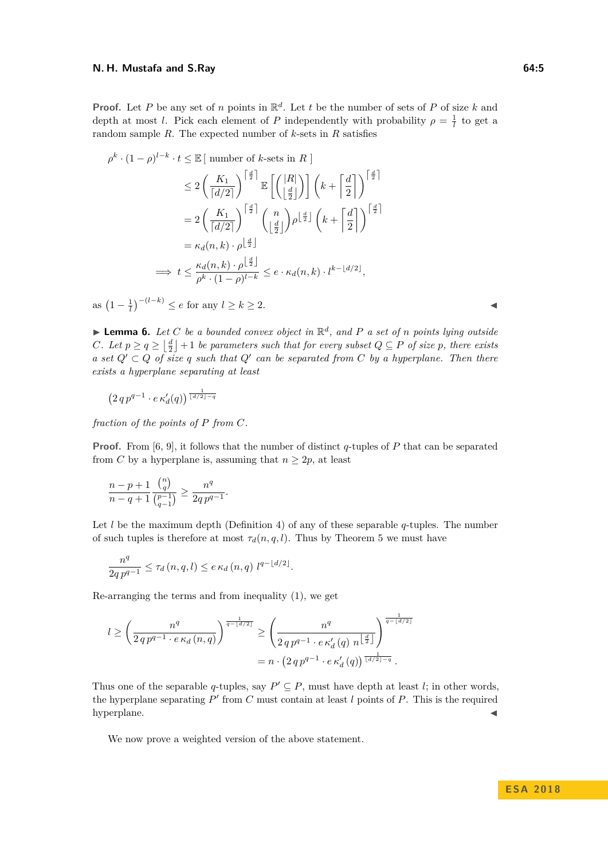#### **N. H. Mustafa and S.Ray 64:5**

**Proof.** Let *P* be any set of *n* points in  $\mathbb{R}^d$ . Let *t* be the number of sets of *P* of size *k* and depth at most *l*. Pick each element of *P* independently with probability  $\rho = \frac{1}{l}$  to get a random sample *R*. The expected number of *k*-sets in *R* satisfies

 $\frac{d}{2}$ 

$$
\rho^k \cdot (1 - \rho)^{l-k} \cdot t \le \mathbb{E} \left[ \text{ number of } k \text{-sets in } R \right]
$$
  
\n
$$
\le 2 \left( \frac{K_1}{\lceil d/2 \rceil} \right)^{\lceil \frac{d}{2} \rceil} \mathbb{E} \left[ \left( \left| \frac{R}{\frac{d}{2}} \right| \right) \right] \left( k + \left| \frac{d}{2} \right| \right)^{\lceil \frac{d}{2} \rceil}
$$
  
\n
$$
= 2 \left( \frac{K_1}{\lceil d/2 \rceil} \right)^{\lceil \frac{d}{2} \rceil} \left( \frac{n}{\lfloor \frac{d}{2} \rfloor} \right) \rho^{\lfloor \frac{d}{2} \rfloor} \left( k + \left| \frac{d}{2} \right| \right)^{\lceil \frac{d}{2} \rceil}
$$
  
\n
$$
= \kappa_d(n, k) \cdot \rho^{\lfloor \frac{d}{2} \rfloor}
$$
  
\n
$$
\implies t \le \frac{\kappa_d(n, k) \cdot \rho^{\lfloor \frac{d}{2} \rfloor}}{\rho^k \cdot (1 - \rho)^{l-k}} \le e \cdot \kappa_d(n, k) \cdot l^{k - \lfloor d/2 \rfloor},
$$

as  $(1 - \frac{1}{l})^{-(l-k)}$  ≤ *e* for any *l* ≥ *k* ≥ 2.

<span id="page-4-0"></span> $\blacktriangleright$  **Lemma 6.** Let C be a bounded convex object in  $\mathbb{R}^d$ , and P a set of *n* points lying outside *C.* Let  $p \ge q \ge \lfloor \frac{d}{2} \rfloor + 1$  be parameters such that for every subset  $Q \subseteq P$  of size  $p$ *, there exists a* set  $Q' \subset Q$  of size q such that  $Q'$  can be separated from C by a hyperplane. Then there *exists a hyperplane separating at least*

$$
\left(2\,q\,p^{q-1}\cdot e\,\kappa'_d(q)\right)^{\frac{1}{\lfloor d/2\rfloor - q}}
$$

*fraction of the points of P from C.*

**Proof.** From [\[6,](#page-7-16) [9\]](#page-7-5), it follows that the number of distinct *q*-tuples of *P* that can be separated from *C* by a hyperplane is, assuming that  $n \geq 2p$ , at least

$$
\frac{n-p+1}{n-q+1} \frac{\binom{n}{q}}{\binom{p-1}{q-1}} \ge \frac{n^q}{2q \, p^{q-1}}.
$$

Let *l* be the maximum depth (Definition [4\)](#page-3-2) of any of these separable *q*-tuples. The number of such tuples is therefore at most  $\tau_d(n, q, l)$ . Thus by Theorem [5](#page-3-3) we must have

$$
\frac{n^{q}}{2q p^{q-1}} \leq \tau_d(n,q,l) \leq e \,\kappa_d(n,q) \; l^{q-\lfloor d/2 \rfloor}.
$$

Re-arranging the terms and from inequality [\(1\)](#page-3-1), we get

$$
l \geq \left(\frac{n^{q}}{2qp^{q-1} \cdot e \kappa_d(n,q)}\right)^{\frac{1}{q-\lfloor d/2 \rfloor}} \geq \left(\frac{n^{q}}{2qp^{q-1} \cdot e \kappa_d'(q) n^{\lfloor \frac{d}{2} \rfloor}}\right)^{\frac{1}{q-\lfloor d/2 \rfloor}}
$$
  
=  $n \cdot \left(2qp^{q-1} \cdot e \kappa_d'(q) \frac{1}{\lfloor d/2 \rfloor - q} \right).$ 

Thus one of the separable *q*-tuples, say  $P' \subseteq P$ , must have depth at least *l*; in other words, the hyperplane separating  $P'$  from  $C$  must contain at least  $l$  points of  $P$ . This is the required hyperplane.

We now prove a weighted version of the above statement.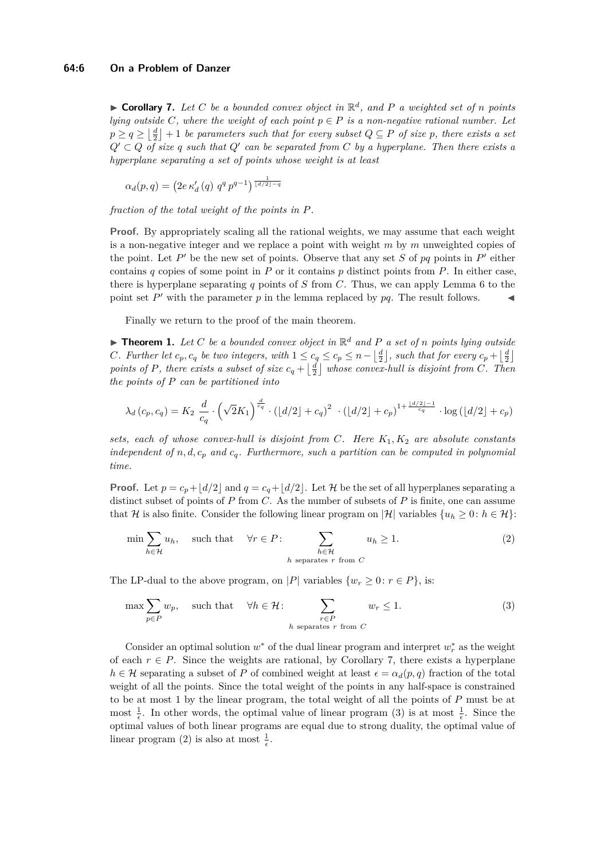<span id="page-5-0"></span> $\triangleright$  **Corollary 7.** Let C be a bounded convex object in  $\mathbb{R}^d$ , and P a weighted set of *n* points *lying outside*  $C$ *, where the weight of each point*  $p \in P$  *is a non-negative rational number. Let*  $p \geq q \geq \left\lfloor \frac{d}{2} \right\rfloor + 1$  *be parameters such that for every subset*  $Q \subseteq P$  *of size*  $p$ *, there exists a set*  $Q' \subset Q$  *of size q such that*  $Q'$  *can be separated from*  $C$  *by a hyperplane. Then there exists a hyperplane separating a set of points whose weight is at least*

 $\alpha_d(p,q) = \left(2e \kappa_d'(q) q^q p^{q-1}\right)^{\frac{1}{\lfloor d/2 \rfloor - q}}$ 

*fraction of the total weight of the points in P.*

**Proof.** By appropriately scaling all the rational weights, we may assume that each weight is a non-negative integer and we replace a point with weight *m* by *m* unweighted copies of the point. Let  $P'$  be the new set of points. Observe that any set  $S$  of  $pq$  points in  $P'$  either contains  $q$  copies of some point in  $P$  or it contains  $p$  distinct points from  $P$ . In either case, there is hyperplane separating *q* points of *S* from *C*. Thus, we can apply Lemma [6](#page-4-0) to the point set  $P'$  with the parameter  $p$  in the lemma replaced by  $pq$ . The result follows.

Finally we return to the proof of the main theorem.

**Fineorem 1.** Let C be a bounded convex object in  $\mathbb{R}^d$  and P a set of *n* points lying outside *C. Further let*  $c_p, c_q$  *be two integers, with*  $1 \leq c_q \leq c_p \leq n - \left\lfloor \frac{d}{2} \right\rfloor$ *, such that for every*  $c_p + \left\lfloor \frac{d}{2} \right\rfloor$ *points of P, there exists a subset of size*  $c_q + \lfloor \frac{d}{2} \rfloor$  whose convex-hull is disjoint from C. Then *the points of P can be partitioned into*

$$
\lambda_d(c_p, c_q) = K_2 \frac{d}{c_q} \cdot \left(\sqrt{2}K_1\right)^{\frac{d}{c_q}} \cdot \left(\lfloor d/2 \rfloor + c_q\right)^2 \cdot \left(\lfloor d/2 \rfloor + c_p\right)^{1 + \frac{\lfloor d/2 \rfloor - 1}{c_q}} \cdot \log\left(\lfloor d/2 \rfloor + c_p\right)
$$

*sets, each of whose convex-hull is disjoint from C. Here K*1*, K*<sup>2</sup> *are absolute constants independent of n, d, c<sup>p</sup> and cq. Furthermore, such a partition can be computed in polynomial time.*

**Proof.** Let  $p = c_p + \lfloor d/2 \rfloor$  and  $q = c_q + \lfloor d/2 \rfloor$ . Let H be the set of all hyperplanes separating a distinct subset of points of *P* from *C*. As the number of subsets of *P* is finite, one can assume that H is also finite. Consider the following linear program on  $|\mathcal{H}|$  variables  $\{u_h \geq 0: h \in \mathcal{H}\}\$ :

<span id="page-5-2"></span>
$$
\min \sum_{h \in \mathcal{H}} u_h, \quad \text{such that} \quad \forall r \in P: \sum_{\substack{h \in \mathcal{H} \\ h \text{ separates } r \text{ from } C}} u_h \ge 1. \tag{2}
$$

The LP-dual to the above program, on |*P*| variables  $\{w_r \geq 0 : r \in P\}$ , is:

<span id="page-5-1"></span>
$$
\max \sum_{p \in P} w_p, \quad \text{such that} \quad \forall h \in \mathcal{H}: \sum_{\substack{r \in P \\ h \text{ separates } r \text{ from } C}} w_r \le 1. \tag{3}
$$

Consider an optimal solution  $w^*$  of the dual linear program and interpret  $w_r^*$  as the weight of each  $r \in P$ . Since the weights are rational, by Corollary [7,](#page-5-0) there exists a hyperplane  $h \in \mathcal{H}$  separating a subset of *P* of combined weight at least  $\epsilon = \alpha_d(p, q)$  fraction of the total weight of all the points. Since the total weight of the points in any half-space is constrained to be at most 1 by the linear program, the total weight of all the points of *P* must be at most  $\frac{1}{\epsilon}$ . In other words, the optimal value of linear program [\(3\)](#page-5-1) is at most  $\frac{1}{\epsilon}$ . Since the optimal values of both linear programs are equal due to strong duality, the optimal value of linear program [\(2\)](#page-5-2) is also at most  $\frac{1}{\epsilon}$ .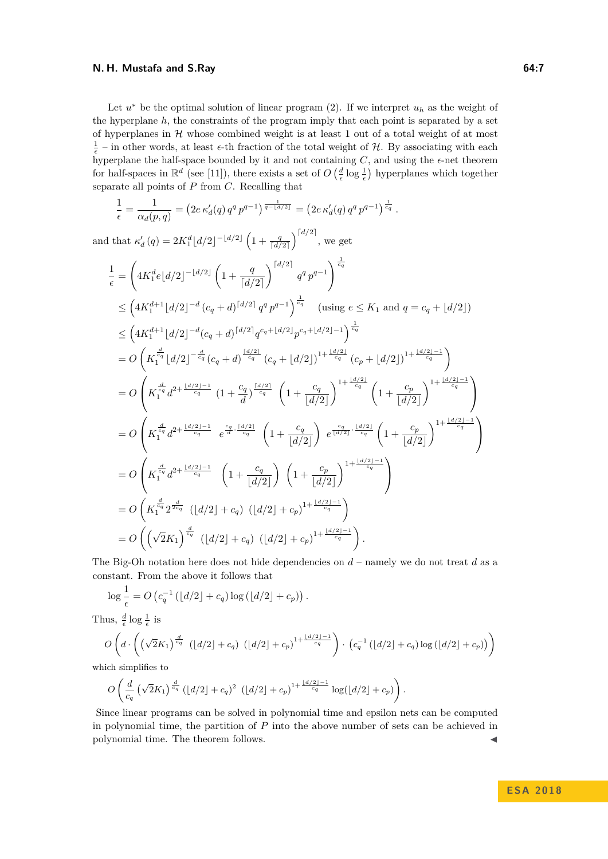#### **N. H. Mustafa and S.Ray 64:7**

Let  $u^*$  be the optimal solution of linear program [\(2\)](#page-5-2). If we interpret  $u_h$  as the weight of the hyperplane *h*, the constraints of the program imply that each point is separated by a set of hyperplanes in  $H$  whose combined weight is at least 1 out of a total weight of at most  $\frac{1}{\epsilon}$  – in other words, at least  $\epsilon$ -th fraction of the total weight of H. By associating with each hyperplane the half-space bounded by it and not containing  $C$ , and using the  $\epsilon$ -net theorem for half-spaces in  $\mathbb{R}^d$  (see [\[11\]](#page-7-17)), there exists a set of  $O\left(\frac{d}{\epsilon} \log \frac{1}{\epsilon}\right)$  hyperplanes which together separate all points of *P* from *C*. Recalling that

$$
\frac{1}{\epsilon} = \frac{1}{\alpha_d(p,q)} = \left(2e \,\kappa'_d(q) \, q^q \, p^{q-1}\right)^{\frac{1}{q-\lfloor d/2 \rfloor}} = \left(2e \,\kappa'_d(q) \, q^q \, p^{q-1}\right)^{\frac{1}{c_q}}.
$$

and that  $\kappa_d'(q) = 2K_1^d \left[ d/2 \right]^{-\lfloor d/2 \rfloor} \left( 1 + \frac{q}{\lceil d/2 \rceil} \right)^{\lceil d/2 \rceil}$ , we get

$$
\frac{1}{\epsilon} = \left( 4K_1^d e \lfloor d/2 \rfloor^{-\lfloor d/2 \rfloor} \left( 1 + \frac{q}{\lceil d/2 \rceil} \right)^{\lceil d/2 \rceil} q^q p^{q-1} \right)^{\frac{1}{c_q}}\n\n\leq \left( 4K_1^{d+1} \lfloor d/2 \rfloor^{-d} (c_q + d)^{\lceil d/2 \rceil} q^q p^{q-1} \right)^{\frac{1}{c_q}} \quad \text{(using } e \leq K_1 \text{ and } q = c_q + \lfloor d/2 \rfloor)\n\n\leq \left( 4K_1^{d+1} \lfloor d/2 \rfloor^{-d} (c_q + d)^{\lceil d/2 \rceil} q^{c_q + \lfloor d/2 \rfloor} p^{c_q + \lfloor d/2 \rfloor - 1} \right)^{\frac{1}{c_q}}\n\n= O\left( K_1^{\frac{d}{c_q}} \lfloor d/2 \rfloor^{-\frac{d}{c_q}} (c_q + d)^{\frac{\lceil d/2 \rceil}{c_q}} (c_q + \lfloor d/2 \rfloor)^{1 + \frac{\lfloor d/2 \rfloor}{c_q}} (c_p + \lfloor d/2 \rfloor)^{1 + \frac{\lfloor d/2 \rfloor - 1}{c_q}} \right)\n\n= O\left( K_1^{\frac{d}{c_q}} d^{2 + \frac{\lfloor d/2 \rfloor - 1}{c_q}} \left( 1 + \frac{c_q}{d} \right)^{\frac{\lceil d/2 \rceil}{c_q}} \left( 1 + \frac{c_q}{\lfloor d/2 \rfloor} \right)^{1 + \frac{\lfloor d/2 \rfloor}{c_q}} \left( 1 + \frac{c_p}{\lfloor d/2 \rfloor} \right)^{1 + \frac{\lfloor d/2 \rfloor - 1}{c_q}} \right)\n\n= O\left( K_1^{\frac{d}{c_q}} d^{2 + \frac{\lfloor d/2 \rfloor - 1}{c_q}} e^{\frac{c_q}{d} \cdot \frac{\lceil d/2 \rceil}{c_q}} \left( 1 + \frac{c_q}{\lfloor d/2 \rfloor} \right) e^{\frac{c_q}{\lfloor d/2 \rfloor} \cdot \frac{\lfloor d/2 \rfloor}{c_q}} \left( 1 + \frac{c_p}{\lfloor d/2 \rfloor} \right)^{1 + \frac{\lfloor d/2 \rfloor - 1}{
$$

The Big-Oh notation here does not hide dependencies on *d* – namely we do not treat *d* as a constant. From the above it follows that

$$
\log \frac{1}{\epsilon} = O\left(c_q^{-1}\left(\left\lfloor d/2 \right\rfloor + c_q\right) \log\left(\left\lfloor d/2 \right\rfloor + c_p\right)\right).
$$

Thus,  $\frac{d}{\epsilon} \log \frac{1}{\epsilon}$  is

$$
O\left(d \cdot \left(\left(\sqrt{2}K_1\right)^{\frac{d}{c_q}} \left(\lfloor d/2 \rfloor + c_q\right) \left(\lfloor d/2 \rfloor + c_p\right)^{1 + \frac{\lfloor d/2 \rfloor - 1}{c_q}}\right) \cdot \left(c_q^{-1}\left(\lfloor d/2 \rfloor + c_q\right) \log\left(\lfloor d/2 \rfloor + c_p\right)\right)\right)
$$

which simplifies to

$$
O\left(\frac{d}{c_q} \left(\sqrt{2}K_1\right)^{\frac{d}{c_q}} \left(\lfloor d/2\rfloor + c_q\right)^2 \left(\lfloor d/2\rfloor + c_p\right)^{1 + \frac{\lfloor d/2\rfloor - 1}{c_q}} \log(\lfloor d/2\rfloor + c_p)\right).
$$

Since linear programs can be solved in polynomial time and epsilon nets can be computed in polynomial time, the partition of *P* into the above number of sets can be achieved in polynomial time. The theorem follows.